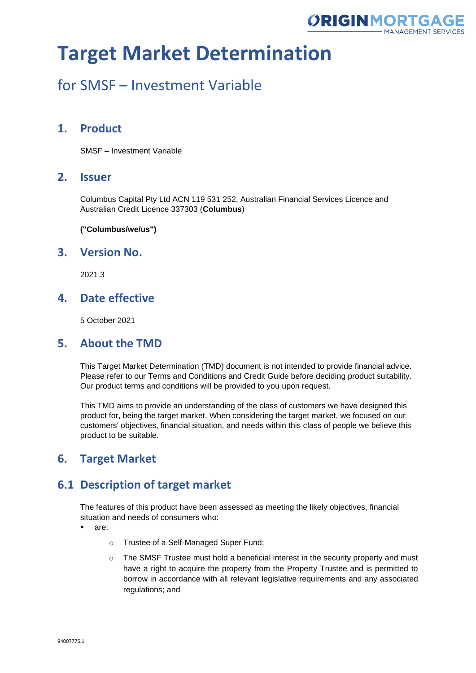

### for SMSF – Investment Variable

### **1. Product**

SMSF – Investment Variable

#### **2. Issuer**

Columbus Capital Pty Ltd ACN 119 531 252, Australian Financial Services Licence and Australian Credit Licence 337303 (**Columbus**)

**("Columbus/we/us")**

#### **3. Version No.**

2021.3

### **4. Date effective**

5 October 2021

#### **5. About the TMD**

This Target Market Determination (TMD) document is not intended to provide financial advice. Please refer to our Terms and Conditions and Credit Guide before deciding product suitability. Our product terms and conditions will be provided to you upon request.

This TMD aims to provide an understanding of the class of customers we have designed this product for, being the target market. When considering the target market, we focused on our customers' objectives, financial situation, and needs within this class of people we believe this product to be suitable.

### **6. Target Market**

### **6.1 Description of target market**

The features of this product have been assessed as meeting the likely objectives, financial situation and needs of consumers who:

- are:
	- o Trustee of a Self-Managed Super Fund;
	- $\circ$  The SMSF Trustee must hold a beneficial interest in the security property and must have a right to acquire the property from the Property Trustee and is permitted to borrow in accordance with all relevant legislative requirements and any associated regulations; and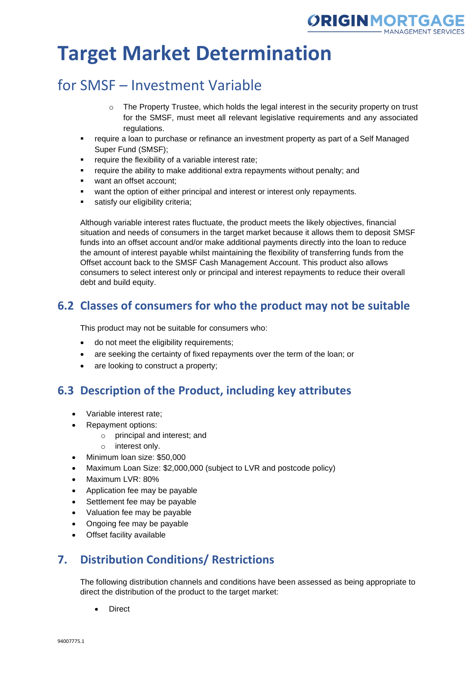

### for SMSF – Investment Variable

- $\circ$  The Property Trustee, which holds the legal interest in the security property on trust for the SMSF, must meet all relevant legislative requirements and any associated regulations.
- require a loan to purchase or refinance an investment property as part of a Self Managed Super Fund (SMSF);
- require the flexibility of a variable interest rate;
- require the ability to make additional extra repayments without penalty; and
- want an offset account:
- want the option of either principal and interest or interest only repayments.
- satisfy our eligibility criteria;

Although variable interest rates fluctuate, the product meets the likely objectives, financial situation and needs of consumers in the target market because it allows them to deposit SMSF funds into an offset account and/or make additional payments directly into the loan to reduce the amount of interest payable whilst maintaining the flexibility of transferring funds from the Offset account back to the SMSF Cash Management Account. This product also allows consumers to select interest only or principal and interest repayments to reduce their overall debt and build equity.

### **6.2 Classes of consumers for who the product may not be suitable**

This product may not be suitable for consumers who:

- do not meet the eligibility requirements;
- are seeking the certainty of fixed repayments over the term of the loan; or
- are looking to construct a property;

### **6.3 Description of the Product, including key attributes**

- Variable interest rate;
- Repayment options:
	- o principal and interest; and
	- o interest only.
- Minimum loan size: \$50,000
- Maximum Loan Size: \$2,000,000 (subject to LVR and postcode policy)
- Maximum LVR: 80%
- Application fee may be payable
- Settlement fee may be payable
- Valuation fee may be payable
- Ongoing fee may be payable
- Offset facility available

### **7. Distribution Conditions/ Restrictions**

The following distribution channels and conditions have been assessed as being appropriate to direct the distribution of the product to the target market:

**Direct**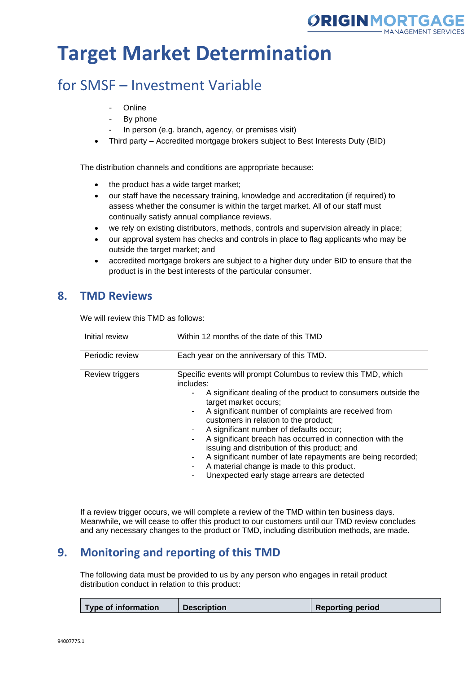

### for SMSF – Investment Variable

- **Online**
- By phone
- In person (e.g. branch, agency, or premises visit)
- Third party Accredited mortgage brokers subject to Best Interests Duty (BID)

The distribution channels and conditions are appropriate because:

- the product has a wide target market;
- our staff have the necessary training, knowledge and accreditation (if required) to assess whether the consumer is within the target market. All of our staff must continually satisfy annual compliance reviews.
- we rely on existing distributors, methods, controls and supervision already in place;
- our approval system has checks and controls in place to flag applicants who may be outside the target market; and
- accredited mortgage brokers are subject to a higher duty under BID to ensure that the product is in the best interests of the particular consumer.

#### **8. TMD Reviews**

We will review this TMD as follows:

| Initial review  | Within 12 months of the date of this TMD                                                                                                                                                                                                                                                                                                                                                                                                                                                                                                                                                   |
|-----------------|--------------------------------------------------------------------------------------------------------------------------------------------------------------------------------------------------------------------------------------------------------------------------------------------------------------------------------------------------------------------------------------------------------------------------------------------------------------------------------------------------------------------------------------------------------------------------------------------|
| Periodic review | Each year on the anniversary of this TMD.                                                                                                                                                                                                                                                                                                                                                                                                                                                                                                                                                  |
| Review triggers | Specific events will prompt Columbus to review this TMD, which<br>includes:<br>A significant dealing of the product to consumers outside the<br>target market occurs;<br>A significant number of complaints are received from<br>customers in relation to the product;<br>A significant number of defaults occur;<br>A significant breach has occurred in connection with the<br>issuing and distribution of this product; and<br>A significant number of late repayments are being recorded;<br>A material change is made to this product.<br>Unexpected early stage arrears are detected |

If a review trigger occurs, we will complete a review of the TMD within ten business days. Meanwhile, we will cease to offer this product to our customers until our TMD review concludes and any necessary changes to the product or TMD, including distribution methods, are made.

### **9. Monitoring and reporting of this TMD**

The following data must be provided to us by any person who engages in retail product distribution conduct in relation to this product:

|  | Type of information | <b>Description</b> | <b>Reporting period</b> |
|--|---------------------|--------------------|-------------------------|
|--|---------------------|--------------------|-------------------------|